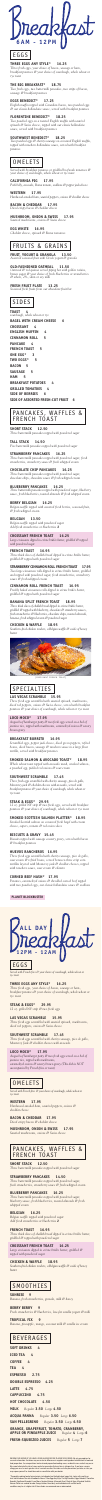**6AM - 12PM**

**EGGS** 

#### **THREE EGGS ANY STYLE\* 16.25**

*Three fresh eggs, your choice of bacon, sausage or ham, breakfast potatoes & your choice of sourdough, whole wheat or rye toast* 

#### **THE BIG BREAKFAST\* 18.75**

*Two fresh eggs, two buttermilk pancakes, two strips of bacon, sausage & breakfast potatoes* 

#### **EGGS BENEDICT\* 17.25**

*English muffin topped with Canadian bacon, two poached eggs & our classic hollandaise sauce, served with breakfast potatoes* 

#### **FLORENTINE BENEDICT\* 18.25**

*Two poached eggs on a toasted English muffin with sautéed spinach & Swiss cheese, topped with our classic hollandaise sauce, served with breakfast potatoes*

#### **SOUTHWEST BENEDICT\* 18.25**

*Two poached eggs & chorizo sausage on a toasted English muffin, topped with ranchero hollandaise sauce, served with breakfast potatoes*

## **OMELETS**

*Served with breakfast potatoes or griddled beefsteak tomatoes & your choice of sourdough, whole wheat or rye toast*

#### **CALIFORNIA PIG 17.95**

*Pork belly, avocado, Roma tomato, scallions & pepper jack cheese*

#### **WESTERN 17.95**

*Hardwood-smoked ham, sautéed peppers, onions & cheddar cheese*  **BACON & CHEDDAR 17.95**

## *Diced crispy bacon & cheddar cheese*

**MUSHROOM, ONION & SWISS 17.95** *Sautéed mushrooms, onions & Swiss cheese* 

#### **EGG WHITE 16.95**

*Cheddar cheese, spinach & Roma tomatoes* 

## FRUITS & GRAINS

#### **FRUIT, YOGURT & GRANOLA 13.50**

*Assorted seasonal fruit with Greek yogurt & granola* 

#### **OLD-FASHIONED OATMEAL 11.50**

*Oatmeal & red quinoa served piping hot with golden raisins, brown sugar & your choice of fresh blueberries or strawberries & whole, 2%, skim or soy milk* 

#### **FRESH FRUIT PLATE 13.25** *Seasonal fresh fruits from our abundant fruit bar*

## SIDES

**TOAST 4** *sourdough, whole wheat or rye*  **BAGEL WITH CREAM CHEESE 6 CROISSANT 4 ENGLISH MUFFIN 4 CINNAMON ROLL 5 PANCAKE 4 FRENCH TOAST 5 ONE EGG\* 3 TWO EGGS\* 5 BACON 5 SAUSAGE 5**

## PANCAKES, WAFFLES & FRENCH TOAST

#### **SHORT STACK 12.50**

*Three buttermilk pancakes topped with powdered sugar*

#### **TALL STACK 14.50**

*Five buttermilk pancakes topped with powdered sugar*

#### **STRAWBERRY PANCAKES 16.25**

*Three buttermilk pancakes topped with powdered sugar, fresh strawberries, strawberry sauce & fresh whipped cream* 

#### **CHOCOLATE CHIP PANCAKES 16.25**

*Three buttermilk pancakes topped with powdered sugar, chocolate chips, chocolate sauce & fresh whipped cream* 

#### **BLUEBERRY PANCAKES 16.25**

*Three buttermilk pancakes topped with powdered sugar, blueberry sauce, fresh blueberries, toasted almonds & fresh whipped cream*

#### **BERRY BELGIAN 16.25**

*Belgian waffle topped with assorted fresh berries, seasonal fruit, & fresh whipped cream* 

#### **BELGIAN 13.50**

*Belgian waffle topped with powdered sugar Add fresh strawberries or blueberries* **2**

#### **CROISSANT FRENCH TOAST 16.25**

*Large croissants dipped in crème brûlée batter, griddled & topped with powdered sugar*

#### **FRENCH TOAST 16.95**

*Three thick slices of challah bread dipped in crème brûlée batter, griddled & topped with powdered sugar* 

#### **STRAWBERRY CINNAMON ROLL FRENCH TOAST 17.95**

*Two large cinnamon rolls dipped in crème brûlée batter, griddled and topped with powdered sugar, fresh strawberries, strawberry sauce & fresh whipped cream*

#### **CINNAMON ROLL FRENCH TOAST 16.95**

*Freshly baked cinnamon rolls dipped in crème brûlée batter, griddled & topped with powdered sugar*

#### **BANANA SPLIT FRENCH TOAST 18.95**

*Three thick slices of challah bread dipped in crème brûlée batter, griddled & topped with blueberry, chocolate & strawberry sauces, fresh strawberries & blueberries, chocolate chips, toasted almonds, banana, fresh whipped cream & powdered sugar*

#### **CHICKEN & WAFFLE 18.95**

*Southern-fried chicken tenders, a Belgian waffle & a side of honey butter*



[CROISSANT FRENCH TOAST]

## SPECIALTIES

#### **LAS VEGAS SCRAMBLE 15.95**

*Three fresh eggs scrambled with sautéed spinach, mushrooms, diced red peppers, onions & Swiss cheese, served with breakfast potatoes & your choice of sourdough, whole wheat or rye toast* 

#### **LOCO MOCO\* 17.95**

*Angus beef hamburger patty & two fresh eggs served on a bed of jasmine rice, topped with mushrooms, caramelized onions & savory brown gravy* 

#### **BREAKFAST BURRITO 16.95**

*Scrambled eggs, pepper jack cheese, diced green peppers, refried beans, diced bacon, sausage & ranchero sauce in a large flour* 

*tortilla, served with breakfast potatoes* 

#### **SMOKED SALMON & AVOCADO TOAST\* 18.95**

*Whole wheat toast topped with avocado mash, smoked salmon, a poached egg, pickled red onions & sour cream*

#### **SOUTHWEST SCRAMBLE 17.45**

*Three fresh eggs scrambled with chorizo sausage, pico de gallo, Monterey jack & cheddar cheeses with avocado, served with breakfast potatoes & your choice of sourdough, whole wheat or rye toast*

#### **STEAK & EGGS\* 29.95**

*12 oz. grilled NY strip & two fresh eggs, served with breakfast potatoes & your choice of sourdough, whole wheat or rye toast*

#### **SMOKED SCOTTISH SALMON PLATTER\* 18.95**

*Smoked Scottish salmon on a toasted fresh bagel with cream cheese, capers, tomato & red onion slices*

#### **BISCUITS & GRAVY 15.45**

*Biscuits topped with sausage country gravy, served with bacon & breakfast potatoes*

#### **HUEVOS RANCHEROS 16.95**

*Three fresh eggs scrambled with chorizo sausage, pico de gallo, sour cream & refried beans, served between three crisp corn tortillas layered with Monterey jack & cheddar cheeses, topped with ranchero sauce, sour cream & cilantro*

#### **CORNED BEEF HASH\* 17.95**

*Potatoes, caramelized onions & shredded corned beef topped with two poached eggs, our classic hollandaise sauce & scallions* 

#### **PLANET BLOCKBUSTER**



**EGGS** 

*Served with French fries & your choice of sourdough, whole wheat or rye toast*

#### **THREE EGGS ANY STYLE\* 16.25**

*Three fresh eggs, your choice of bacon, sausage or ham, breakfast potatoes & your choice of sourdough, whole wheat or rye toast*

#### **STEAK & EGGS\* 29.95**

*12 oz. grilled NY strip & two fresh eggs* 

#### **LAS VEGAS SCRAMBLE 15.95**

*Three fresh eggs scrambled with sautéed spinach, mushrooms, diced red peppers, onions & Swiss cheese* 

#### **SOUTHWEST SCRAMBLE 17.45**

*Three fresh eggs scrambled with chorizo sausage, pico de gallo, Monterey Jack & cheddar cheeses with avocado*

#### **LOCO MOCO\* 17.95**

*Angus beef hamburger patty & two fresh eggs served on a bed of jasmine rice, topped with mushrooms, caramelized onions & savory brown gravy (This dish is NOT accompanied by French fries or toast)* 

## **OMELETS**

*Served with French fries & your choice of sourdough, whole wheat or rye toast*

#### **WESTERN 17.95**

*Hardwood-smoked ham, sautéed peppers, onions & cheddar cheese* 

#### **BACON & CHEDDAR 17.95**

*Diced crispy bacon & cheddar cheese* 

#### **MUSHROOM, ONION & SWISS 17.95**

*Sautéed mushrooms, onions & Swiss cheese*



#### **SHORT STACK 12.50**

*Three buttermilk pancakes topped with powdered sugar*

#### **STRAWBERRY PANCAKES 14.50**

*Three buttermilk pancakes topped with powdered sugar, fresh strawberries, strawberry sauce & fresh whipped cream* 

#### **BLUEBERRY PANCAKES 16.25**

*Three buttermilk pancakes topped with powdered sugar, blueberry sauce, fresh blueberries, toasted almonds & fresh whipped cream* 

#### **BELGIAN 16.25**

*Belgian waffle topped with powdered sugar Add fresh strawberries or blueberries* **2**

#### **FRENCH TOAST 16.95**

*Three thick slices of challah bread dipped in crème brûlée batter, griddled & topped with powdered sugar*

#### **CROISSANT FRENCH TOAST 16.25**

*Large croissants dipped in crème brûlée batter, griddled & topped with powdered sugar*

#### **CHICKEN & WAFFLE 18.95**

*Southern-fried chicken tenders, a Belgian waffle & a side of honey butter*

## **SMOOTHIES**

#### **SUNRISE 9**

*Banana, fresh strawberries, granola, milk & honey*

#### **BERRY BERRY 9**

*Fresh strawberries & blueberries, low-fat vanilla yogurt & milk*

**TROPICAL FIX 9** *Banana, pineapple, mango, coconut milk & vanilla ice cream*

## BEVERAGES

**SOFT DRINKS 4 ICED TEA 4 COFFEE 4 TEA 4 ESPRESSO 2.75 DOUBLE ESPRESSO 4.25 LATTE 4.75 CAPPUCCINO 4.75 HOT CHOCOLATE 4.50 MILK** *Regular* **3.50** *Large* **4.50 ACQUA PANNA** *Regular* **3.50** *Large* **6.50 SAN PELLEGRINO** *Regular* **3.50** *Large* **6.50 ORANGE, GRAPEFRUIT, TOMATO, CRANBERRY, APPLE OR PINEAPPLE JUICE** *Regular* **4** *Large* **6 FRESH-SQUEEZED JUICES** *Regular* **5** *Large* **7**

INFORM YOUR SERVER IF YOU HAVE A FOOD ALLERGY BEFORE PLACING YOUR ORDER. We rely on suppliers for accurate information. Variations may occur due to differences in suppliers and ingredient substitutions in food and food preparation. As our operations involve shared preparation/cooking areas, accidental cross contact may occur. We cannot eliminate the risk of cross contact or guarantee that any item is allergen-free. If you have a severe allergy you are at a much greater risk of a serious reaction. Decisions as to the precautions you take, or risks you may expose yourself to, should be made in consultation with your doctor.

\*Thoroughly cooking food of animal origin, including but not limited to beef, eggs, fish, lamb, milk, poultry, or shell stock reduces the risk of foodborne illness. Three Eggs Any Style, The Big Breakfast, Eggs Benedict, Florentine Benedict, Southwest Benedict, Loco Moco, Smoked Salmon & Avocado Toast, Steak & Eggs & Smoked Scottish Salmon Platter are cooked to order. Young children, the elderly, and individuals with certain health conditions may be at a higher risk if these foods are consumed raw or undercooked.